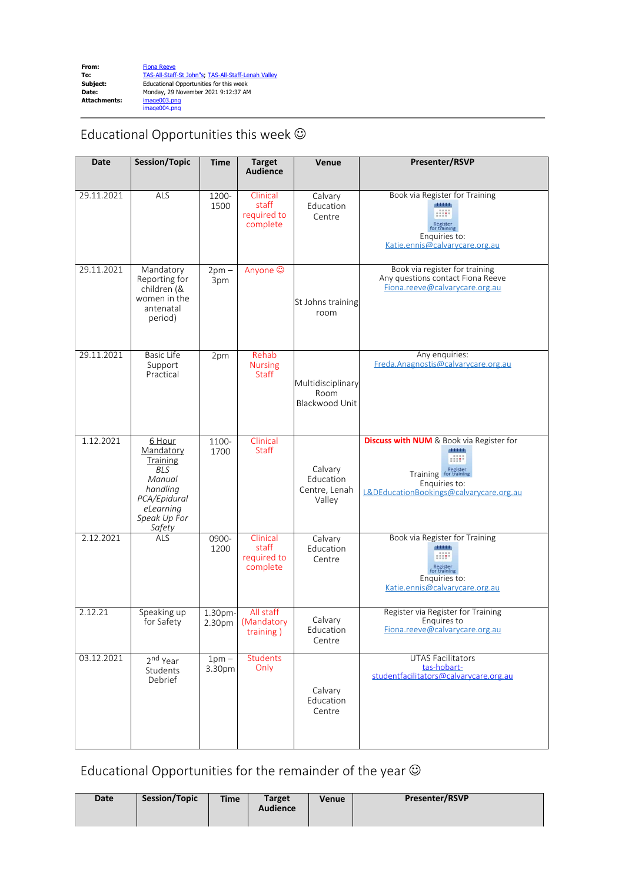## Educational Opportunities this week  $\odot$

| Date       | Session/Topic                                                                                                                     | <b>Time</b>       | <b>Target</b><br>Audience                    | Venue                                           | Presenter/RSVP                                                                                                                                           |
|------------|-----------------------------------------------------------------------------------------------------------------------------------|-------------------|----------------------------------------------|-------------------------------------------------|----------------------------------------------------------------------------------------------------------------------------------------------------------|
| 29.11.2021 | ALS                                                                                                                               | 1200-<br>1500     | Clinical<br>staff<br>required to<br>complete | Calvary<br>Education<br>Centre                  | Book via Register for Training<br>dittitle<br>and a<br>Register<br>for training<br>Enquiries to:<br>Katie.ennis@calvarycare.org.au                       |
| 29.11.2021 | Mandatory<br>Reporting for<br>children (&<br>women in the<br>antenatal<br>period)                                                 | $2pm -$<br>3pm    | Anyone ©                                     | St Johns training<br>room                       | Book via register for training<br>Any questions contact Fiona Reeve<br>Fiona.reeve@calvarycare.org.au                                                    |
| 29.11.2021 | <b>Basic Life</b><br>Support<br>Practical                                                                                         | 2pm               | Rehab<br><b>Nursing</b><br><b>Staff</b>      | Multidisciplinary<br>Room<br>Blackwood Unit     | Any enquiries:<br>Freda.Anagnostis@calvarycare.org.au                                                                                                    |
| 1.12.2021  | 6 Hour<br>Mandatory<br><b>Training</b><br><b>BLS</b><br>Manual<br>handling<br>PCA/Epidural<br>eLearning<br>Speak Up For<br>Safety | 1100-<br>1700     | Clinical<br><b>Staff</b>                     | Calvary<br>Education<br>Centre, Lenah<br>Valley | <b>Discuss with NUM</b> & Book via Register for<br>dititle<br>(111)<br>Training for training<br>Enquiries to:<br>L&DEducationBookings@calvarycare.org.au |
| 2.12.2021  | AIS                                                                                                                               | 0900-<br>1200     | Clinical<br>staff<br>required to<br>complete | Calvary<br>Education<br>Centre                  | Book via Register for Training<br>4444<br>Register<br>for training<br>Enquiries to:<br>Katie.ennis@calvarycare.org.au                                    |
| 2.12.21    | Speaking up<br>for Safety                                                                                                         | 1.30pm-<br>2.30pm | All staff<br>(Mandatory<br>training)         | Calvary<br>Education<br>Centre                  | Register via Register for Training<br>Enquires to<br><u>Fiona.reeve@calvarycare.org.au</u>                                                               |
| 03.12.2021 | 2 <sup>nd</sup> Year<br>Students<br>Debrief                                                                                       | $1pm -$<br>3.30pm | Students<br>Only                             | Calvary<br>Education<br>Centre                  | <b>UTAS Facilitators</b><br>tas-hobart-<br>studentfacilitators@calvarycare.org.au                                                                        |

Educational Opportunities for the remainder of the year  $\odot$ 

| <b>Date</b> | Session/Topic | <b>Time</b> | <b>Target</b><br><b>Audience</b> | Venue | Presenter/RSVP |
|-------------|---------------|-------------|----------------------------------|-------|----------------|
|-------------|---------------|-------------|----------------------------------|-------|----------------|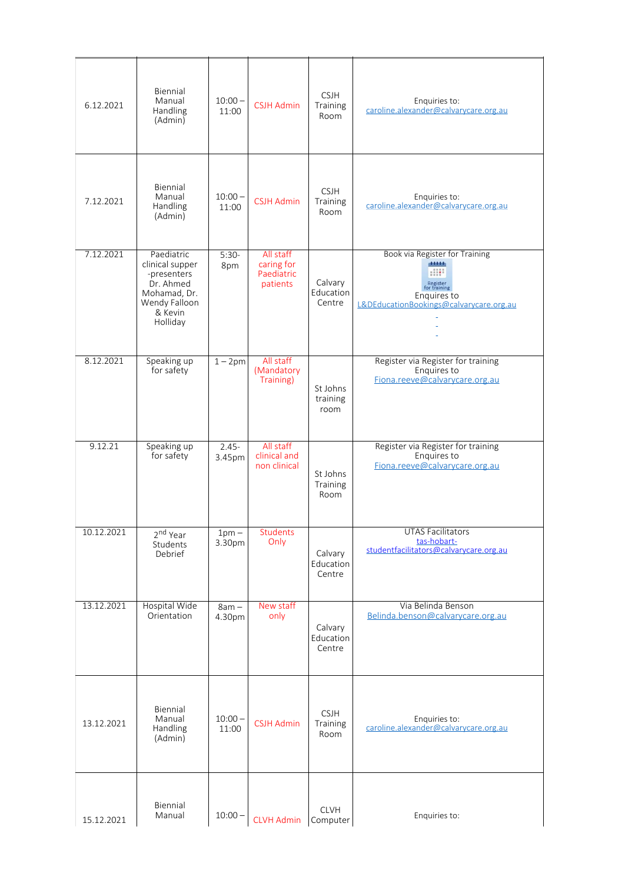| 6.12.2021  | Biennial<br>Manual<br>Handling<br>(Admin)                                                                         | $10:00 -$<br>11:00 | <b>CSJH Admin</b>                                 | <b>CSJH</b><br><b>Training</b><br>Room | Enquiries to:<br>caroline.alexander@calvarycare.org.au                                                                   |
|------------|-------------------------------------------------------------------------------------------------------------------|--------------------|---------------------------------------------------|----------------------------------------|--------------------------------------------------------------------------------------------------------------------------|
| 7.12.2021  | Biennial<br>Manual<br>Handling<br>(Admin)                                                                         | $10:00 -$<br>11:00 | <b>CSJH Admin</b>                                 | <b>CSJH</b><br>Training<br>Room        | Enquiries to:<br>caroline.alexander@calvarycare.org.au                                                                   |
| 7.12.2021  | Paediatric<br>clinical supper<br>-presenters<br>Dr. Ahmed<br>Mohamad, Dr.<br>Wendy Falloon<br>& Kevin<br>Holliday | $5:30-$<br>8pm     | All staff<br>caring for<br>Paediatric<br>patients | Calvary<br>Education<br>Centre         | Book via Register for Training<br><br>Register<br>for training<br>Enquires to<br>L&DEducationBookings@calvarycare.org.au |
| 8.12.2021  | Speaking up<br>for safety                                                                                         | $1 - 2pm$          | All staff<br>(Mandatory<br>Training)              | St Johns<br>training<br>room           | Register via Register for training<br>Enquires to<br>Fiona.reeve@calvarycare.org.au                                      |
| 9.12.21    | Speaking up<br>for safety                                                                                         | $2.45 -$<br>3.45pm | All staff<br>clinical and<br>non clinical         | St Johns<br>Training<br>Room           | Register via Register for training<br>Enquires to<br>Fiona.reeve@calvarycare.org.au                                      |
| 10.12.2021 | 2 <sup>nd</sup> Year<br>Students<br>Debrief                                                                       | $1pm -$<br>3.30pm  | <b>Students</b><br>Only                           | Calvary<br>Education<br>Centre         | <b>UTAS Facilitators</b><br>tas-hobart-<br>studentfacilitators@calvarycare.org.au                                        |
| 13.12.2021 | Hospital Wide<br>Orientation                                                                                      | $8am -$<br>4.30pm  | New staff<br>only                                 | Calvary<br>Education<br>Centre         | Via Belinda Benson<br>Belinda.benson@calvarycare.org.au                                                                  |
| 13.12.2021 | Biennial<br>Manual<br>Handling<br>(Admin)                                                                         | $10:00 -$<br>11:00 | <b>CSJH Admin</b>                                 | <b>CSJH</b><br>Training<br>Room        | Enquiries to:<br>caroline.alexander@calvarycare.org.au                                                                   |
| 15.12.2021 | Biennial<br>Manual                                                                                                | $10:00 -$          | <b>CLVH Admin</b>                                 | <b>CLVH</b><br>Computer                | Enquiries to:                                                                                                            |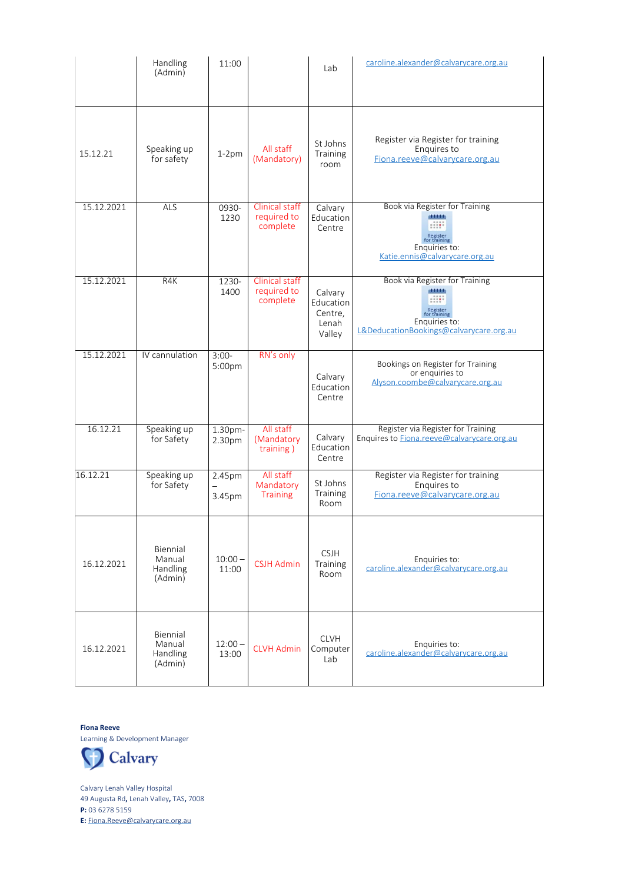|            | Handling<br>(Admin)                       | 11:00                 |                                           | Lab                                                | caroline.alexander@calvarycare.org.au                                                                                                  |
|------------|-------------------------------------------|-----------------------|-------------------------------------------|----------------------------------------------------|----------------------------------------------------------------------------------------------------------------------------------------|
| 15.12.21   | Speaking up<br>for safety                 | $1-2pm$               | All staff<br>(Mandatory)                  | St Johns<br><b>Training</b><br>room                | Register via Register for training<br>Enquires to<br>Fiona.reeve@calvarycare.org.au                                                    |
| 15.12.2021 | <b>ALS</b>                                | 0930-<br>1230         | Clinical staff<br>required to<br>complete | Calvary<br>Education<br>Centre                     | Book via Register for Training<br>$\frac{1}{2}$<br>Register<br>for training<br>Enquiries to:<br>Katie.ennis@calvarycare.org.au         |
| 15.12.2021 | R4K                                       | 1230-<br>1400         | Clinical staff<br>required to<br>complete | Calvary<br>Education<br>Centre,<br>Lenah<br>Valley | Book via Register for Training<br><b>TELET</b><br>Register<br>for training<br>Enquiries to:<br>L&DeducationBookings@calvarycare.org.au |
| 15.12.2021 | IV cannulation                            | $3:00-$<br>5:00pm     | RN's only                                 | Calvary<br>Education<br>Centre                     | Bookings on Register for Training<br>or enquiries to<br>Alyson.coombe@calvarycare.org.au                                               |
| 16.12.21   | Speaking up<br>for Safety                 | 1.30pm-<br>2.30pm     | All staff<br>(Mandatory<br>training)      | Calvary<br>Education<br>Centre                     | Register via Register for Training<br>Enquires to Fiona.reeve@calvarycare.org.au                                                       |
| 16.12.21   | Speaking up<br>for Safety                 | 2.45pm<br>-<br>3.45pm | All staff<br>Mandatory<br><b>Training</b> | St Johns<br>Training<br>Room                       | Register via Register for training<br>Enquires to<br>Fiona.reeve@calvarycare.org.au                                                    |
| 16.12.2021 | Biennial<br>Manual<br>Handling<br>(Admin) | $10:00 -$<br>11:00    | <b>CSJH Admin</b>                         | <b>CSJH</b><br>Training<br>Room                    | Enquiries to:<br>caroline.alexander@calvarycare.org.au                                                                                 |
| 16.12.2021 | Biennial<br>Manual<br>Handling<br>(Admin) | $12:00 -$<br>13:00    | <b>CLVH Admin</b>                         | <b>CLVH</b><br>Computer<br>Lab                     | Enquiries to:<br>caroline.alexander@calvarycare.org.au                                                                                 |

**Fiona Reeve**

Learning & Development Manager



Calvary Lenah Valley Hospital 49 Augusta Rd**,** Lenah Valley**,** TAS**,** 7008 **P:** 03 6278 5159 **E:** [Fiona.Reeve@calvarycare.org.au](mailto:Fiona.Reeve@calvarycare.org.au)